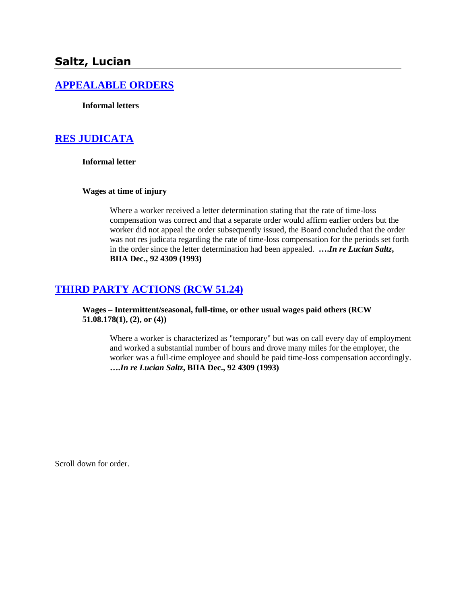# **Saltz, Lucian**

### **[APPEALABLE ORDERS](http://www.biia.wa.gov/SDSubjectIndex.html#APPEALABLE_ORDERS)**

**Informal letters**

### **[RES JUDICATA](http://www.biia.wa.gov/SDSubjectIndex.html#RES_JUDICATA)**

**Informal letter**

### **Wages at time of injury**

Where a worker received a letter determination stating that the rate of time-loss compensation was correct and that a separate order would affirm earlier orders but the worker did not appeal the order subsequently issued, the Board concluded that the order was not res judicata regarding the rate of time-loss compensation for the periods set forth in the order since the letter determination had been appealed. **….***In re Lucian Saltz***, BIIA Dec., 92 4309 (1993)** 

# **[THIRD PARTY ACTIONS \(RCW 51.24\)](http://www.biia.wa.gov/SDSubjectIndex.html#THIRD_PARTY_ACTIONS)**

**Wages – Intermittent/seasonal, full-time, or other usual wages paid others (RCW 51.08.178(1), (2), or (4))**

Where a worker is characterized as "temporary" but was on call every day of employment and worked a substantial number of hours and drove many miles for the employer, the worker was a full-time employee and should be paid time-loss compensation accordingly. **….***In re Lucian Saltz***, BIIA Dec., 92 4309 (1993)** 

Scroll down for order.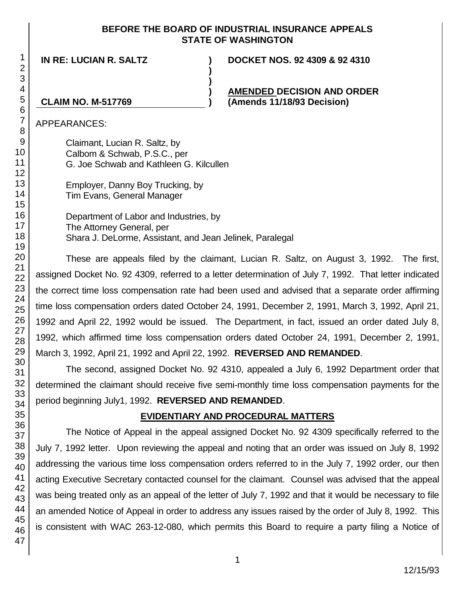### **BEFORE THE BOARD OF INDUSTRIAL INSURANCE APPEALS STATE OF WASHINGTON**

**) )**

**IN RE: LUCIAN R. SALTZ ) DOCKET NOS. 92 4309 & 92 4310**

**) AMENDED DECISION AND ORDER CLAIM NO. M-517769 ) (Amends 11/18/93 Decision)**

APPEARANCES:

Claimant, Lucian R. Saltz, by Calbom & Schwab, P.S.C., per G. Joe Schwab and Kathleen G. Kilcullen

Employer, Danny Boy Trucking, by Tim Evans, General Manager

Department of Labor and Industries, by The Attorney General, per Shara J. DeLorme, Assistant, and Jean Jelinek, Paralegal

These are appeals filed by the claimant, Lucian R. Saltz, on August 3, 1992. The first, assigned Docket No. 92 4309, referred to a letter determination of July 7, 1992. That letter indicated the correct time loss compensation rate had been used and advised that a separate order affirming time loss compensation orders dated October 24, 1991, December 2, 1991, March 3, 1992, April 21, 1992 and April 22, 1992 would be issued. The Department, in fact, issued an order dated July 8, 1992, which affirmed time loss compensation orders dated October 24, 1991, December 2, 1991, March 3, 1992, April 21, 1992 and April 22, 1992. **REVERSED AND REMANDED**.

The second, assigned Docket No. 92 4310, appealed a July 6, 1992 Department order that determined the claimant should receive five semi-monthly time loss compensation payments for the period beginning July1, 1992. **REVERSED AND REMANDED**.

# **EVIDENTIARY AND PROCEDURAL MATTERS**

The Notice of Appeal in the appeal assigned Docket No. 92 4309 specifically referred to the July 7, 1992 letter. Upon reviewing the appeal and noting that an order was issued on July 8, 1992 addressing the various time loss compensation orders referred to in the July 7, 1992 order, our then acting Executive Secretary contacted counsel for the claimant. Counsel was advised that the appeal was being treated only as an appeal of the letter of July 7, 1992 and that it would be necessary to file an amended Notice of Appeal in order to address any issues raised by the order of July 8, 1992. This is consistent with WAC 263-12-080, which permits this Board to require a party filing a Notice of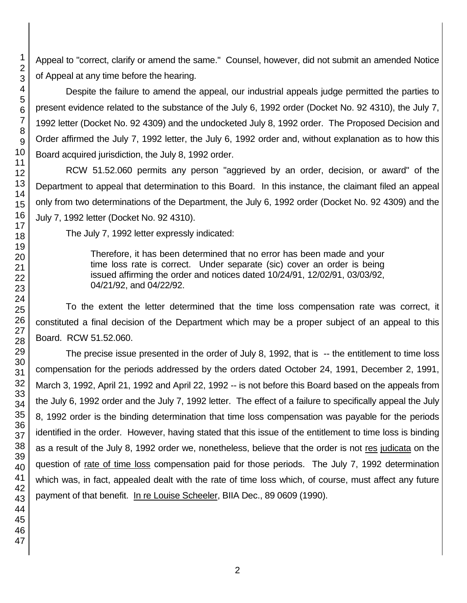Appeal to "correct, clarify or amend the same." Counsel, however, did not submit an amended Notice of Appeal at any time before the hearing.

Despite the failure to amend the appeal, our industrial appeals judge permitted the parties to present evidence related to the substance of the July 6, 1992 order (Docket No. 92 4310), the July 7, 1992 letter (Docket No. 92 4309) and the undocketed July 8, 1992 order. The Proposed Decision and Order affirmed the July 7, 1992 letter, the July 6, 1992 order and, without explanation as to how this Board acquired jurisdiction, the July 8, 1992 order.

RCW 51.52.060 permits any person "aggrieved by an order, decision, or award" of the Department to appeal that determination to this Board. In this instance, the claimant filed an appeal only from two determinations of the Department, the July 6, 1992 order (Docket No. 92 4309) and the July 7, 1992 letter (Docket No. 92 4310).

The July 7, 1992 letter expressly indicated:

Therefore, it has been determined that no error has been made and your time loss rate is correct. Under separate (sic) cover an order is being issued affirming the order and notices dated 10/24/91, 12/02/91, 03/03/92, 04/21/92, and 04/22/92.

To the extent the letter determined that the time loss compensation rate was correct, it constituted a final decision of the Department which may be a proper subject of an appeal to this Board. RCW 51.52.060.

The precise issue presented in the order of July 8, 1992, that is -- the entitlement to time loss compensation for the periods addressed by the orders dated October 24, 1991, December 2, 1991, March 3, 1992, April 21, 1992 and April 22, 1992 -- is not before this Board based on the appeals from the July 6, 1992 order and the July 7, 1992 letter. The effect of a failure to specifically appeal the July 8, 1992 order is the binding determination that time loss compensation was payable for the periods identified in the order. However, having stated that this issue of the entitlement to time loss is binding as a result of the July 8, 1992 order we, nonetheless, believe that the order is not res judicata on the question of rate of time loss compensation paid for those periods. The July 7, 1992 determination which was, in fact, appealed dealt with the rate of time loss which, of course, must affect any future payment of that benefit. In re Louise Scheeler, BIIA Dec., 89 0609 (1990).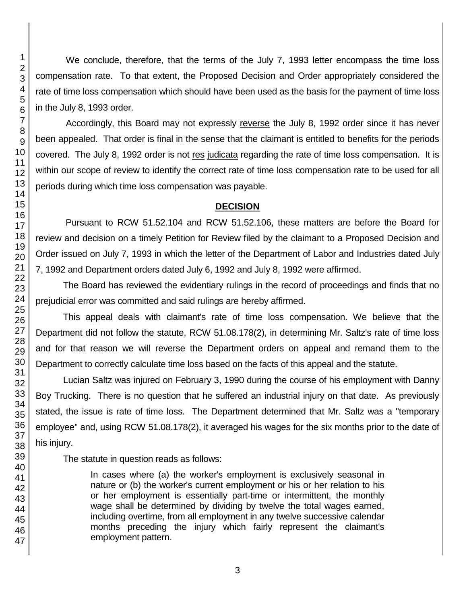We conclude, therefore, that the terms of the July 7, 1993 letter encompass the time loss compensation rate. To that extent, the Proposed Decision and Order appropriately considered the rate of time loss compensation which should have been used as the basis for the payment of time loss in the July 8, 1993 order.

Accordingly, this Board may not expressly reverse the July 8, 1992 order since it has never been appealed. That order is final in the sense that the claimant is entitled to benefits for the periods covered. The July 8, 1992 order is not res judicata regarding the rate of time loss compensation. It is within our scope of review to identify the correct rate of time loss compensation rate to be used for all periods during which time loss compensation was payable.

## **DECISION**

Pursuant to RCW 51.52.104 and RCW 51.52.106, these matters are before the Board for review and decision on a timely Petition for Review filed by the claimant to a Proposed Decision and Order issued on July 7, 1993 in which the letter of the Department of Labor and Industries dated July 7, 1992 and Department orders dated July 6, 1992 and July 8, 1992 were affirmed.

The Board has reviewed the evidentiary rulings in the record of proceedings and finds that no prejudicial error was committed and said rulings are hereby affirmed.

This appeal deals with claimant's rate of time loss compensation. We believe that the Department did not follow the statute, RCW 51.08.178(2), in determining Mr. Saltz's rate of time loss and for that reason we will reverse the Department orders on appeal and remand them to the Department to correctly calculate time loss based on the facts of this appeal and the statute.

Lucian Saltz was injured on February 3, 1990 during the course of his employment with Danny Boy Trucking. There is no question that he suffered an industrial injury on that date. As previously stated, the issue is rate of time loss. The Department determined that Mr. Saltz was a "temporary employee" and, using RCW 51.08.178(2), it averaged his wages for the six months prior to the date of his injury.

The statute in question reads as follows:

In cases where (a) the worker's employment is exclusively seasonal in nature or (b) the worker's current employment or his or her relation to his or her employment is essentially part-time or intermittent, the monthly wage shall be determined by dividing by twelve the total wages earned, including overtime, from all employment in any twelve successive calendar months preceding the injury which fairly represent the claimant's employment pattern.

1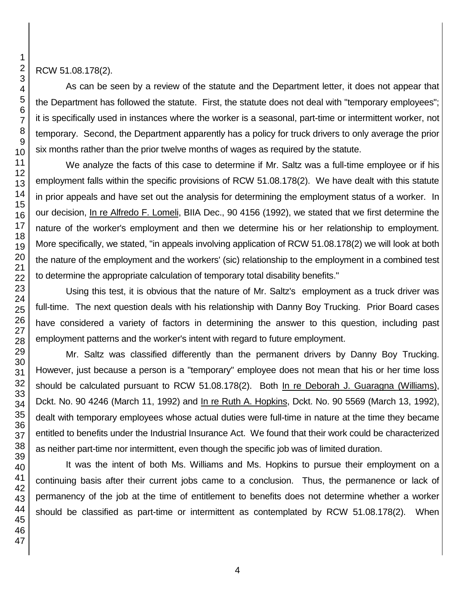RCW 51.08.178(2).

As can be seen by a review of the statute and the Department letter, it does not appear that the Department has followed the statute. First, the statute does not deal with "temporary employees"; it is specifically used in instances where the worker is a seasonal, part-time or intermittent worker, not temporary. Second, the Department apparently has a policy for truck drivers to only average the prior six months rather than the prior twelve months of wages as required by the statute.

We analyze the facts of this case to determine if Mr. Saltz was a full-time employee or if his employment falls within the specific provisions of RCW 51.08.178(2). We have dealt with this statute in prior appeals and have set out the analysis for determining the employment status of a worker. In our decision, In re Alfredo F. Lomeli, BIIA Dec., 90 4156 (1992), we stated that we first determine the nature of the worker's employment and then we determine his or her relationship to employment. More specifically, we stated, "in appeals involving application of RCW 51.08.178(2) we will look at both the nature of the employment and the workers' (sic) relationship to the employment in a combined test to determine the appropriate calculation of temporary total disability benefits."

Using this test, it is obvious that the nature of Mr. Saltz's employment as a truck driver was full-time. The next question deals with his relationship with Danny Boy Trucking. Prior Board cases have considered a variety of factors in determining the answer to this question, including past employment patterns and the worker's intent with regard to future employment.

Mr. Saltz was classified differently than the permanent drivers by Danny Boy Trucking. However, just because a person is a "temporary" employee does not mean that his or her time loss should be calculated pursuant to RCW 51.08.178(2). Both In re Deborah J. Guaragna (Williams), Dckt. No. 90 4246 (March 11, 1992) and In re Ruth A. Hopkins, Dckt. No. 90 5569 (March 13, 1992), dealt with temporary employees whose actual duties were full-time in nature at the time they became entitled to benefits under the Industrial Insurance Act. We found that their work could be characterized as neither part-time nor intermittent, even though the specific job was of limited duration.

It was the intent of both Ms. Williams and Ms. Hopkins to pursue their employment on a continuing basis after their current jobs came to a conclusion. Thus, the permanence or lack of permanency of the job at the time of entitlement to benefits does not determine whether a worker should be classified as part-time or intermittent as contemplated by RCW 51.08.178(2). When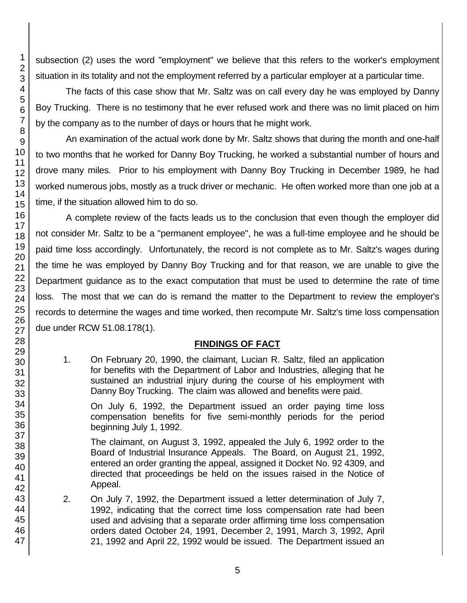subsection (2) uses the word "employment" we believe that this refers to the worker's employment situation in its totality and not the employment referred by a particular employer at a particular time.

The facts of this case show that Mr. Saltz was on call every day he was employed by Danny Boy Trucking. There is no testimony that he ever refused work and there was no limit placed on him by the company as to the number of days or hours that he might work.

An examination of the actual work done by Mr. Saltz shows that during the month and one-half to two months that he worked for Danny Boy Trucking, he worked a substantial number of hours and drove many miles. Prior to his employment with Danny Boy Trucking in December 1989, he had worked numerous jobs, mostly as a truck driver or mechanic. He often worked more than one job at a time, if the situation allowed him to do so.

A complete review of the facts leads us to the conclusion that even though the employer did not consider Mr. Saltz to be a "permanent employee", he was a full-time employee and he should be paid time loss accordingly. Unfortunately, the record is not complete as to Mr. Saltz's wages during the time he was employed by Danny Boy Trucking and for that reason, we are unable to give the Department guidance as to the exact computation that must be used to determine the rate of time loss. The most that we can do is remand the matter to the Department to review the employer's records to determine the wages and time worked, then recompute Mr. Saltz's time loss compensation due under RCW 51.08.178(1).

## **FINDINGS OF FACT**

1. On February 20, 1990, the claimant, Lucian R. Saltz, filed an application for benefits with the Department of Labor and Industries, alleging that he sustained an industrial injury during the course of his employment with Danny Boy Trucking. The claim was allowed and benefits were paid.

On July 6, 1992, the Department issued an order paying time loss compensation benefits for five semi-monthly periods for the period beginning July 1, 1992.

The claimant, on August 3, 1992, appealed the July 6, 1992 order to the Board of Industrial Insurance Appeals. The Board, on August 21, 1992, entered an order granting the appeal, assigned it Docket No. 92 4309, and directed that proceedings be held on the issues raised in the Notice of Appeal.

2. On July 7, 1992, the Department issued a letter determination of July 7, 1992, indicating that the correct time loss compensation rate had been used and advising that a separate order affirming time loss compensation orders dated October 24, 1991, December 2, 1991, March 3, 1992, April 21, 1992 and April 22, 1992 would be issued. The Department issued an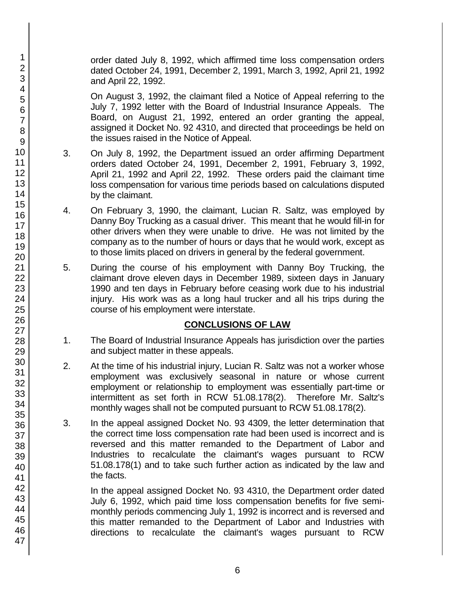order dated July 8, 1992, which affirmed time loss compensation orders dated October 24, 1991, December 2, 1991, March 3, 1992, April 21, 1992 and April 22, 1992.

On August 3, 1992, the claimant filed a Notice of Appeal referring to the July 7, 1992 letter with the Board of Industrial Insurance Appeals. The Board, on August 21, 1992, entered an order granting the appeal, assigned it Docket No. 92 4310, and directed that proceedings be held on the issues raised in the Notice of Appeal.

- 3. On July 8, 1992, the Department issued an order affirming Department orders dated October 24, 1991, December 2, 1991, February 3, 1992, April 21, 1992 and April 22, 1992. These orders paid the claimant time loss compensation for various time periods based on calculations disputed by the claimant.
- 4. On February 3, 1990, the claimant, Lucian R. Saltz, was employed by Danny Boy Trucking as a casual driver. This meant that he would fill-in for other drivers when they were unable to drive. He was not limited by the company as to the number of hours or days that he would work, except as to those limits placed on drivers in general by the federal government.
- 5. During the course of his employment with Danny Boy Trucking, the claimant drove eleven days in December 1989, sixteen days in January 1990 and ten days in February before ceasing work due to his industrial injury. His work was as a long haul trucker and all his trips during the course of his employment were interstate.

## **CONCLUSIONS OF LAW**

- 1. The Board of Industrial Insurance Appeals has jurisdiction over the parties and subject matter in these appeals.
- 2. At the time of his industrial injury, Lucian R. Saltz was not a worker whose employment was exclusively seasonal in nature or whose current employment or relationship to employment was essentially part-time or intermittent as set forth in RCW 51.08.178(2). Therefore Mr. Saltz's monthly wages shall not be computed pursuant to RCW 51.08.178(2).
- 3. In the appeal assigned Docket No. 93 4309, the letter determination that the correct time loss compensation rate had been used is incorrect and is reversed and this matter remanded to the Department of Labor and Industries to recalculate the claimant's wages pursuant to RCW 51.08.178(1) and to take such further action as indicated by the law and the facts.

In the appeal assigned Docket No. 93 4310, the Department order dated July 6, 1992, which paid time loss compensation benefits for five semimonthly periods commencing July 1, 1992 is incorrect and is reversed and this matter remanded to the Department of Labor and Industries with directions to recalculate the claimant's wages pursuant to RCW